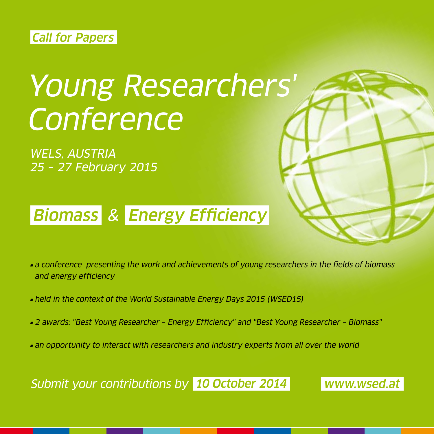#### Call for Papers

# Young Researchers' **Conference**

WELS, AUSTRIA 25 – 27 February 2015

## Biomass & Energy Efficiency



- **a** conference presenting the work and achievements of young researchers in the fields of biomass and energy efficiency
- held in the context of the World Sustainable Energy Days 2015 (WSED15)
- 2 awards: "Best Young Researcher Energy Efficiency" and "Best Young Researcher Biomass"
- an opportunity to interact with researchers and industry experts from all over the world

Submit your contributions by 10 October 2014 www.wsed.at